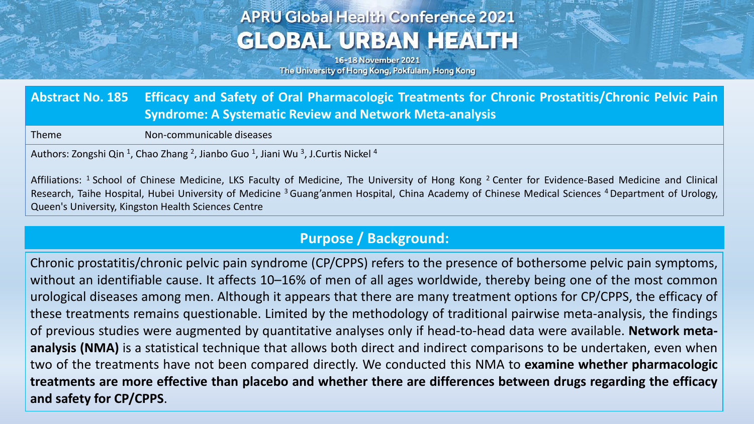# **APRU Global Health Conference 2021 GLOBAL URBAN HEALTH**

16-18 November 2021 The University of Hong Kong, Pokfulam, Hong Kong

**Abstract No. 185 Efficacy and Safety of Oral Pharmacologic Treatments for Chronic Prostatitis/Chronic Pelvic Pain Syndrome: A Systematic Review and Network Meta-analysis**

Theme Non-communicable diseases

Authors: Zongshi Qin<sup>1</sup>, Chao Zhang <sup>2</sup>, Jianbo Guo<sup>1</sup>, Jiani Wu<sup>3</sup>, J.Curtis Nickel<sup>4</sup>

Affiliations: <sup>1</sup> School of Chinese Medicine, LKS Faculty of Medicine, The University of Hong Kong <sup>2</sup> Center for Evidence-Based Medicine and Clinical Research, Taihe Hospital, Hubei University of Medicine <sup>3</sup> Guang'anmen Hospital, China Academy of Chinese Medical Sciences <sup>4</sup> Department of Urology, Queen's University, Kingston Health Sciences Centre

### **Purpose / Background:**

Chronic prostatitis/chronic pelvic pain syndrome (CP/CPPS) refers to the presence of bothersome pelvic pain symptoms, without an identifiable cause. It affects 10–16% of men of all ages worldwide, thereby being one of the most common urological diseases among men. Although it appears that there are many treatment options for CP/CPPS, the efficacy of these treatments remains questionable. Limited by the methodology of traditional pairwise meta-analysis, the findings of previous studies were augmented by quantitative analyses only if head-to-head data were available. **Network metaanalysis (NMA)** is a statistical technique that allows both direct and indirect comparisons to be undertaken, even when two of the treatments have not been compared directly. We conducted this NMA to **examine whether pharmacologic** treatments are more effective than placebo and whether there are differences between drugs regarding the efficacy **and safety for CP/CPPS**.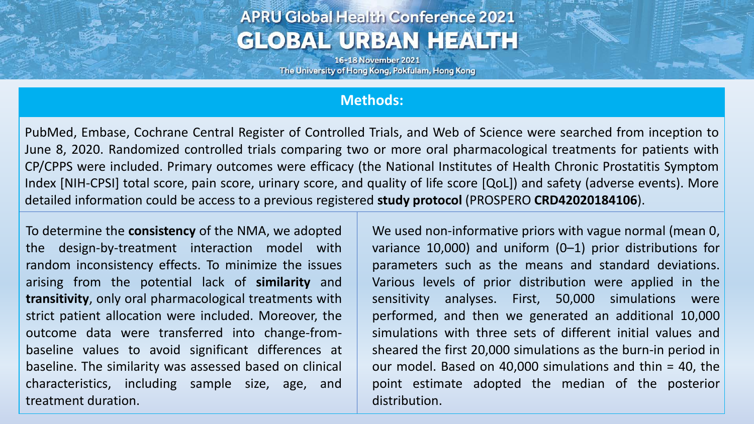## **APRU Global Health Conference 2021 GLOBAL URBAN HEALTH**

16-18 November 2021 The University of Hong Kong, Pokfulam, Hong Kong

#### **Methods:**

PubMed, Embase, Cochrane Central Register of Controlled Trials, and Web of Science were searched from inception to June 8, 2020. Randomized controlled trials comparing two or more oral pharmacological treatments for patients with CP/CPPS were included. Primary outcomes were efficacy (the National Institutes of Health Chronic Prostatitis Symptom Index [NIH-CPSI] total score, pain score, urinary score, and quality of life score [QoL]) and safety (adverse events). More detailed information could be access to a previous registered **study protocol** (PROSPERO **CRD42020184106**).

To determine the **consistency** of the NMA, we adopted the design-by-treatment interaction model with random inconsistency effects. To minimize the issues arising from the potential lack of **similarity** and **transitivity**, only oral pharmacological treatments with strict patient allocation were included. Moreover, the outcome data were transferred into change-frombaseline values to avoid significant differences at baseline. The similarity was assessed based on clinical characteristics, including sample size, age, and treatment duration.

We used non-informative priors with vague normal (mean 0, variance 10,000) and uniform (0–1) prior distributions for parameters such as the means and standard deviations. Various levels of prior distribution were applied in the sensitivity analyses. First, 50,000 simulations were performed, and then we generated an additional 10,000 simulations with three sets of different initial values and sheared the first 20,000 simulations as the burn-in period in our model. Based on 40,000 simulations and thin = 40, the point estimate adopted the median of the posterior distribution.